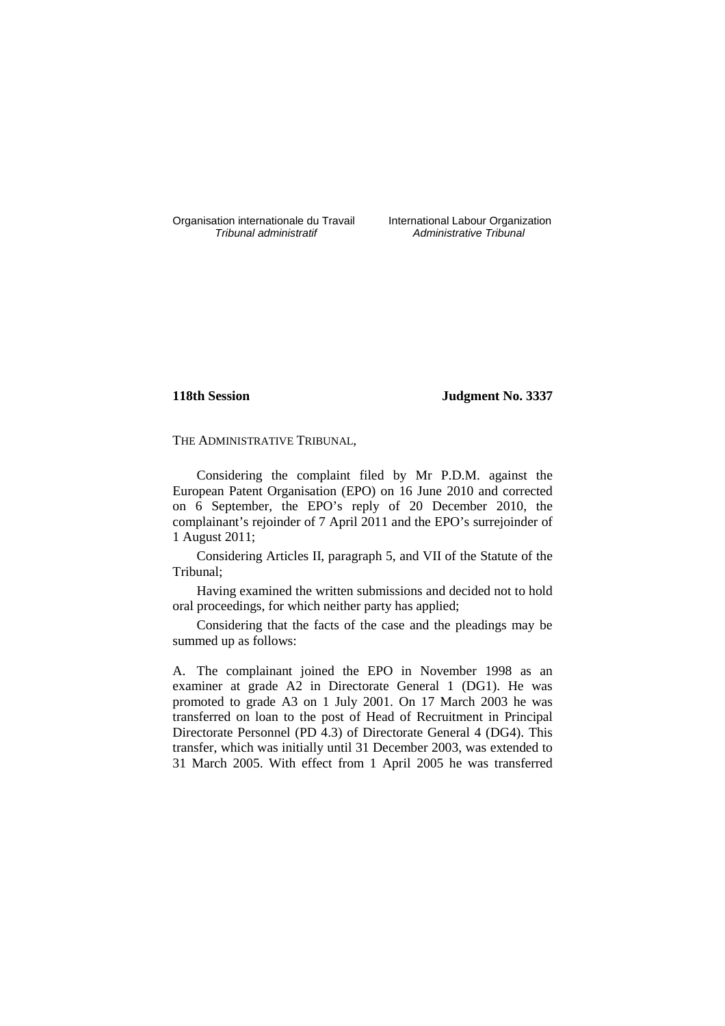Organisation internationale du Travail International Labour Organization<br>*Tribunal administratif* Administrative Tribunal

Administrative Tribunal

## **118th Session Judgment No. 3337**

THE ADMINISTRATIVE TRIBUNAL,

Considering the complaint filed by Mr P.D.M. against the European Patent Organisation (EPO) on 16 June 2010 and corrected on 6 September, the EPO's reply of 20 December 2010, the complainant's rejoinder of 7 April 2011 and the EPO's surrejoinder of 1 August 2011;

Considering Articles II, paragraph 5, and VII of the Statute of the Tribunal;

Having examined the written submissions and decided not to hold oral proceedings, for which neither party has applied;

Considering that the facts of the case and the pleadings may be summed up as follows:

A. The complainant joined the EPO in November 1998 as an examiner at grade A2 in Directorate General 1 (DG1). He was promoted to grade A3 on 1 July 2001. On 17 March 2003 he was transferred on loan to the post of Head of Recruitment in Principal Directorate Personnel (PD 4.3) of Directorate General 4 (DG4). This transfer, which was initially until 31 December 2003, was extended to 31 March 2005. With effect from 1 April 2005 he was transferred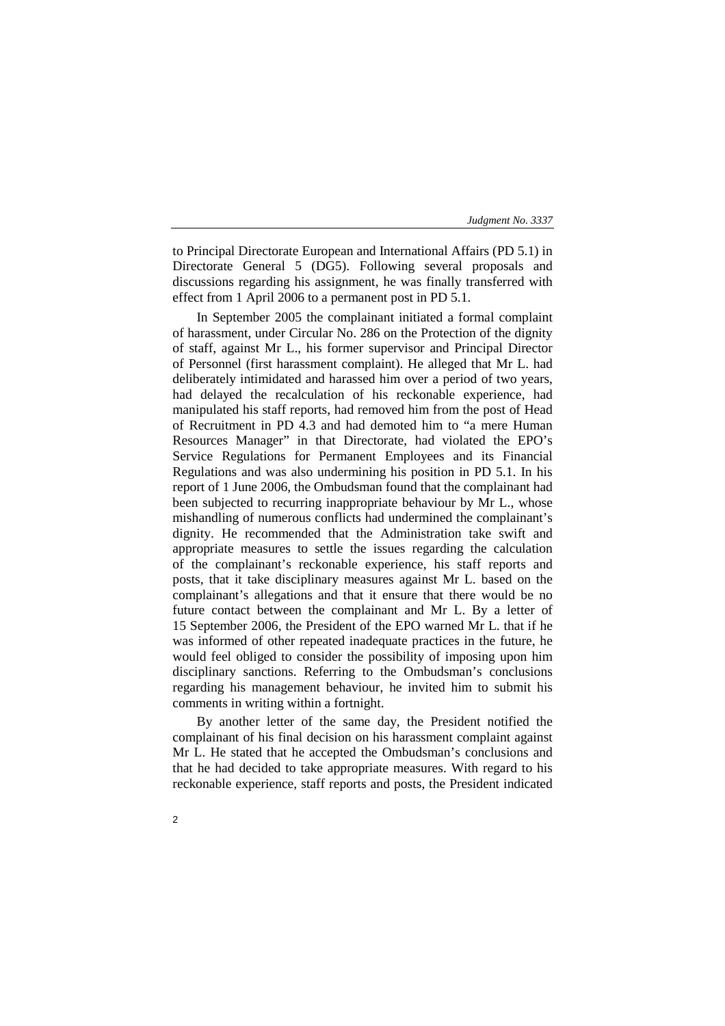to Principal Directorate European and International Affairs (PD 5.1) in Directorate General 5 (DG5). Following several proposals and discussions regarding his assignment, he was finally transferred with effect from 1 April 2006 to a permanent post in PD 5.1.

In September 2005 the complainant initiated a formal complaint of harassment, under Circular No. 286 on the Protection of the dignity of staff, against Mr L., his former supervisor and Principal Director of Personnel (first harassment complaint). He alleged that Mr L. had deliberately intimidated and harassed him over a period of two years, had delayed the recalculation of his reckonable experience, had manipulated his staff reports, had removed him from the post of Head of Recruitment in PD 4.3 and had demoted him to "a mere Human Resources Manager" in that Directorate, had violated the EPO's Service Regulations for Permanent Employees and its Financial Regulations and was also undermining his position in PD 5.1. In his report of 1 June 2006, the Ombudsman found that the complainant had been subjected to recurring inappropriate behaviour by Mr L., whose mishandling of numerous conflicts had undermined the complainant's dignity. He recommended that the Administration take swift and appropriate measures to settle the issues regarding the calculation of the complainant's reckonable experience, his staff reports and posts, that it take disciplinary measures against Mr L. based on the complainant's allegations and that it ensure that there would be no future contact between the complainant and Mr L. By a letter of 15 September 2006, the President of the EPO warned Mr L. that if he was informed of other repeated inadequate practices in the future, he would feel obliged to consider the possibility of imposing upon him disciplinary sanctions. Referring to the Ombudsman's conclusions regarding his management behaviour, he invited him to submit his comments in writing within a fortnight.

By another letter of the same day, the President notified the complainant of his final decision on his harassment complaint against Mr L. He stated that he accepted the Ombudsman's conclusions and that he had decided to take appropriate measures. With regard to his reckonable experience, staff reports and posts, the President indicated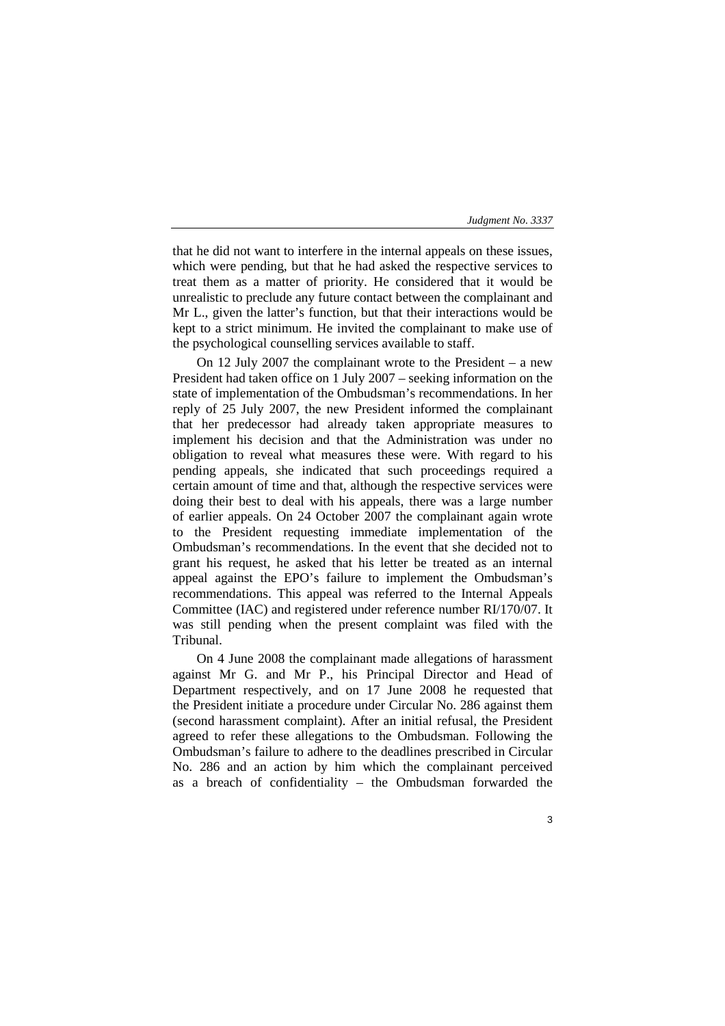that he did not want to interfere in the internal appeals on these issues, which were pending, but that he had asked the respective services to treat them as a matter of priority. He considered that it would be unrealistic to preclude any future contact between the complainant and Mr L., given the latter's function, but that their interactions would be kept to a strict minimum. He invited the complainant to make use of the psychological counselling services available to staff.

On 12 July 2007 the complainant wrote to the President – a new President had taken office on 1 July 2007 – seeking information on the state of implementation of the Ombudsman's recommendations. In her reply of 25 July 2007, the new President informed the complainant that her predecessor had already taken appropriate measures to implement his decision and that the Administration was under no obligation to reveal what measures these were. With regard to his pending appeals, she indicated that such proceedings required a certain amount of time and that, although the respective services were doing their best to deal with his appeals, there was a large number of earlier appeals. On 24 October 2007 the complainant again wrote to the President requesting immediate implementation of the Ombudsman's recommendations. In the event that she decided not to grant his request, he asked that his letter be treated as an internal appeal against the EPO's failure to implement the Ombudsman's recommendations. This appeal was referred to the Internal Appeals Committee (IAC) and registered under reference number RI/170/07. It was still pending when the present complaint was filed with the Tribunal.

On 4 June 2008 the complainant made allegations of harassment against Mr G. and Mr P., his Principal Director and Head of Department respectively, and on 17 June 2008 he requested that the President initiate a procedure under Circular No. 286 against them (second harassment complaint). After an initial refusal, the President agreed to refer these allegations to the Ombudsman. Following the Ombudsman's failure to adhere to the deadlines prescribed in Circular No. 286 and an action by him which the complainant perceived as a breach of confidentiality – the Ombudsman forwarded the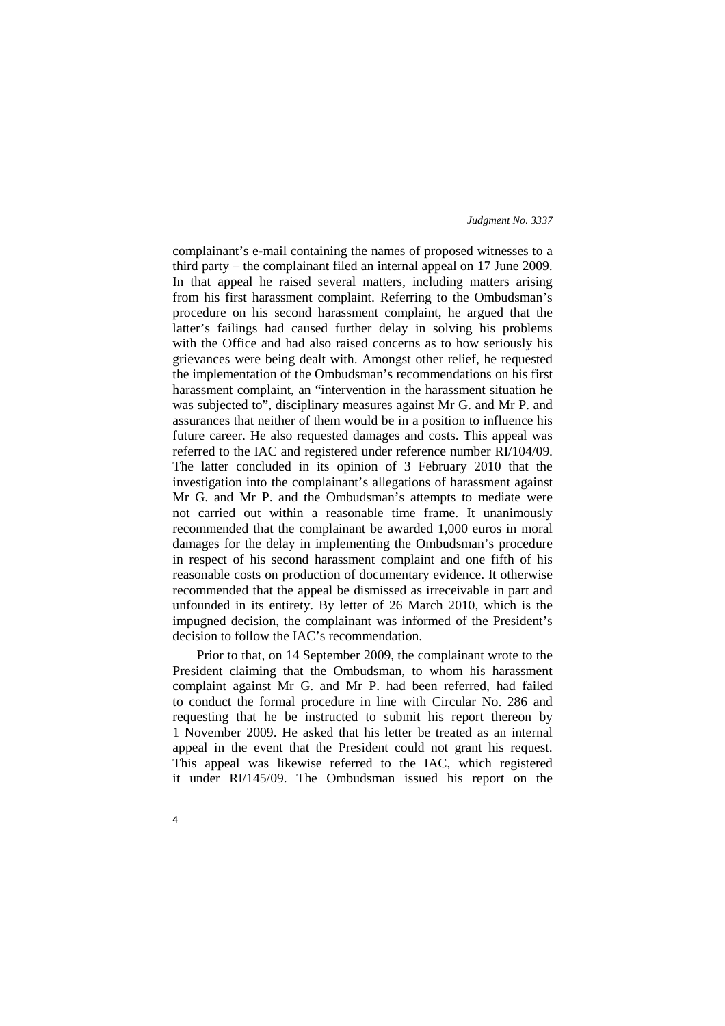complainant's e**-**mail containing the names of proposed witnesses to a third party – the complainant filed an internal appeal on 17 June 2009. In that appeal he raised several matters, including matters arising from his first harassment complaint. Referring to the Ombudsman's procedure on his second harassment complaint, he argued that the latter's failings had caused further delay in solving his problems with the Office and had also raised concerns as to how seriously his grievances were being dealt with. Amongst other relief, he requested the implementation of the Ombudsman's recommendations on his first harassment complaint, an "intervention in the harassment situation he was subjected to", disciplinary measures against Mr G. and Mr P. and assurances that neither of them would be in a position to influence his future career. He also requested damages and costs. This appeal was referred to the IAC and registered under reference number RI/104/09. The latter concluded in its opinion of 3 February 2010 that the investigation into the complainant's allegations of harassment against Mr G. and Mr P. and the Ombudsman's attempts to mediate were not carried out within a reasonable time frame. It unanimously recommended that the complainant be awarded 1,000 euros in moral damages for the delay in implementing the Ombudsman's procedure in respect of his second harassment complaint and one fifth of his reasonable costs on production of documentary evidence. It otherwise recommended that the appeal be dismissed as irreceivable in part and unfounded in its entirety. By letter of 26 March 2010, which is the impugned decision, the complainant was informed of the President's decision to follow the IAC's recommendation.

Prior to that, on 14 September 2009, the complainant wrote to the President claiming that the Ombudsman, to whom his harassment complaint against Mr G. and Mr P. had been referred, had failed to conduct the formal procedure in line with Circular No. 286 and requesting that he be instructed to submit his report thereon by 1 November 2009. He asked that his letter be treated as an internal appeal in the event that the President could not grant his request. This appeal was likewise referred to the IAC, which registered it under RI/145/09. The Ombudsman issued his report on the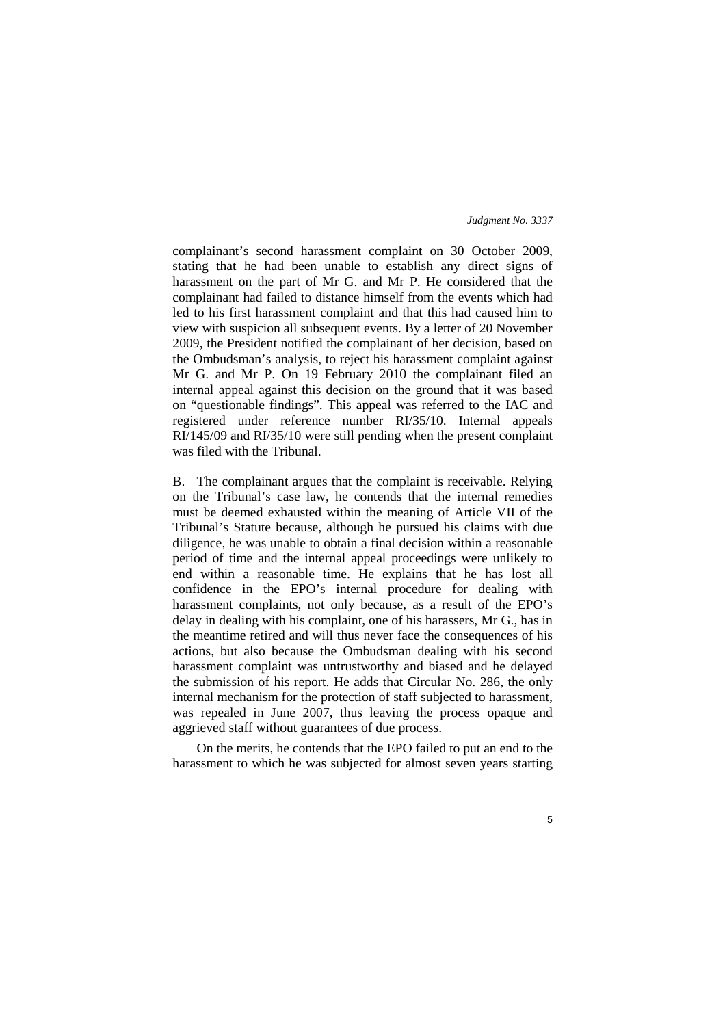complainant's second harassment complaint on 30 October 2009, stating that he had been unable to establish any direct signs of harassment on the part of Mr G. and Mr P. He considered that the complainant had failed to distance himself from the events which had led to his first harassment complaint and that this had caused him to view with suspicion all subsequent events. By a letter of 20 November 2009, the President notified the complainant of her decision, based on the Ombudsman's analysis, to reject his harassment complaint against Mr G. and Mr P. On 19 February 2010 the complainant filed an internal appeal against this decision on the ground that it was based on "questionable findings". This appeal was referred to the IAC and registered under reference number RI/35/10. Internal appeals RI/145/09 and RI/35/10 were still pending when the present complaint was filed with the Tribunal.

B. The complainant argues that the complaint is receivable. Relying on the Tribunal's case law, he contends that the internal remedies must be deemed exhausted within the meaning of Article VII of the Tribunal's Statute because, although he pursued his claims with due diligence, he was unable to obtain a final decision within a reasonable period of time and the internal appeal proceedings were unlikely to end within a reasonable time. He explains that he has lost all confidence in the EPO's internal procedure for dealing with harassment complaints, not only because, as a result of the EPO's delay in dealing with his complaint, one of his harassers, Mr G., has in the meantime retired and will thus never face the consequences of his actions, but also because the Ombudsman dealing with his second harassment complaint was untrustworthy and biased and he delayed the submission of his report. He adds that Circular No. 286, the only internal mechanism for the protection of staff subjected to harassment, was repealed in June 2007, thus leaving the process opaque and aggrieved staff without guarantees of due process.

On the merits, he contends that the EPO failed to put an end to the harassment to which he was subjected for almost seven years starting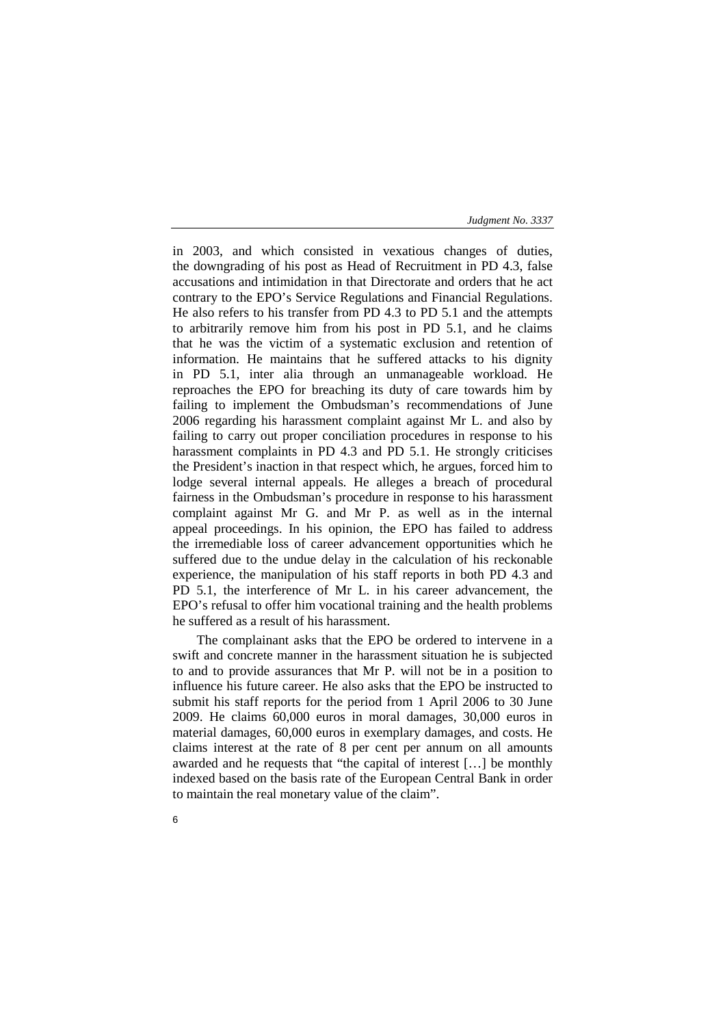in 2003, and which consisted in vexatious changes of duties, the downgrading of his post as Head of Recruitment in PD 4.3, false accusations and intimidation in that Directorate and orders that he act contrary to the EPO's Service Regulations and Financial Regulations. He also refers to his transfer from PD 4.3 to PD 5.1 and the attempts to arbitrarily remove him from his post in PD 5.1, and he claims that he was the victim of a systematic exclusion and retention of information. He maintains that he suffered attacks to his dignity in PD 5.1, inter alia through an unmanageable workload. He reproaches the EPO for breaching its duty of care towards him by failing to implement the Ombudsman's recommendations of June 2006 regarding his harassment complaint against Mr L. and also by failing to carry out proper conciliation procedures in response to his harassment complaints in PD 4.3 and PD 5.1. He strongly criticises the President's inaction in that respect which, he argues, forced him to lodge several internal appeals. He alleges a breach of procedural fairness in the Ombudsman's procedure in response to his harassment complaint against Mr G. and Mr P. as well as in the internal appeal proceedings. In his opinion, the EPO has failed to address the irremediable loss of career advancement opportunities which he suffered due to the undue delay in the calculation of his reckonable experience, the manipulation of his staff reports in both PD 4.3 and PD 5.1, the interference of Mr L. in his career advancement, the EPO's refusal to offer him vocational training and the health problems he suffered as a result of his harassment.

The complainant asks that the EPO be ordered to intervene in a swift and concrete manner in the harassment situation he is subjected to and to provide assurances that Mr P. will not be in a position to influence his future career. He also asks that the EPO be instructed to submit his staff reports for the period from 1 April 2006 to 30 June 2009. He claims 60,000 euros in moral damages, 30,000 euros in material damages, 60,000 euros in exemplary damages, and costs. He claims interest at the rate of 8 per cent per annum on all amounts awarded and he requests that "the capital of interest […] be monthly indexed based on the basis rate of the European Central Bank in order to maintain the real monetary value of the claim".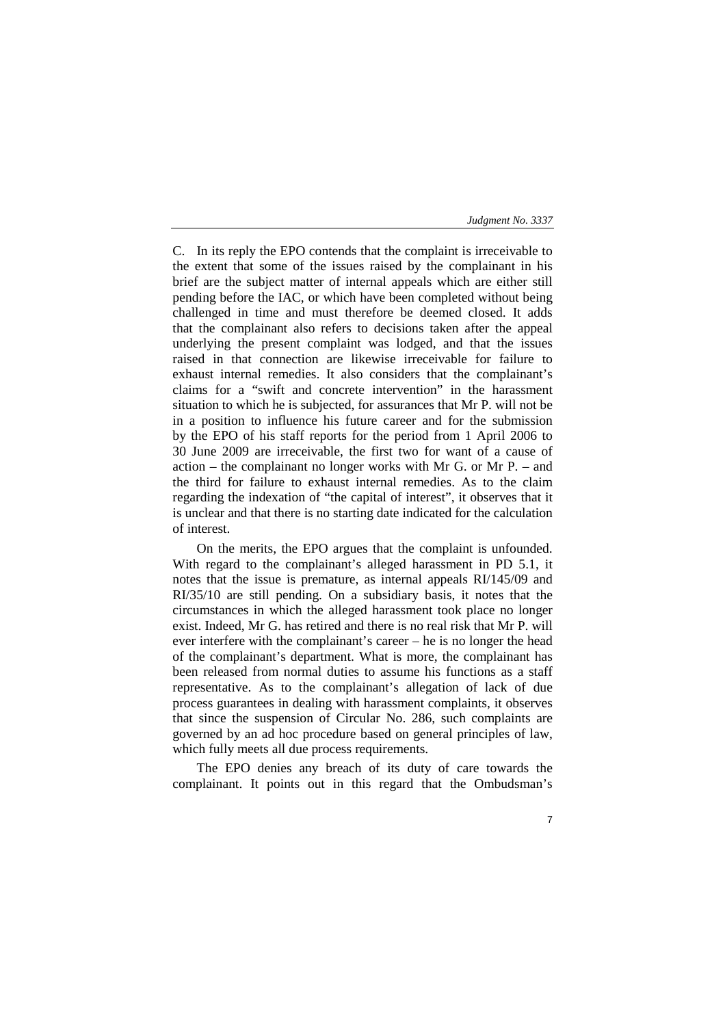C. In its reply the EPO contends that the complaint is irreceivable to the extent that some of the issues raised by the complainant in his brief are the subject matter of internal appeals which are either still pending before the IAC, or which have been completed without being challenged in time and must therefore be deemed closed. It adds that the complainant also refers to decisions taken after the appeal underlying the present complaint was lodged, and that the issues raised in that connection are likewise irreceivable for failure to exhaust internal remedies. It also considers that the complainant's claims for a "swift and concrete intervention" in the harassment situation to which he is subjected, for assurances that Mr P. will not be in a position to influence his future career and for the submission by the EPO of his staff reports for the period from 1 April 2006 to 30 June 2009 are irreceivable, the first two for want of a cause of action – the complainant no longer works with Mr G. or Mr P. – and the third for failure to exhaust internal remedies. As to the claim regarding the indexation of "the capital of interest", it observes that it is unclear and that there is no starting date indicated for the calculation of interest.

On the merits, the EPO argues that the complaint is unfounded. With regard to the complainant's alleged harassment in PD 5.1, it notes that the issue is premature, as internal appeals RI/145/09 and RI/35/10 are still pending. On a subsidiary basis, it notes that the circumstances in which the alleged harassment took place no longer exist. Indeed, Mr G. has retired and there is no real risk that Mr P. will ever interfere with the complainant's career – he is no longer the head of the complainant's department. What is more, the complainant has been released from normal duties to assume his functions as a staff representative. As to the complainant's allegation of lack of due process guarantees in dealing with harassment complaints, it observes that since the suspension of Circular No. 286, such complaints are governed by an ad hoc procedure based on general principles of law, which fully meets all due process requirements.

The EPO denies any breach of its duty of care towards the complainant. It points out in this regard that the Ombudsman's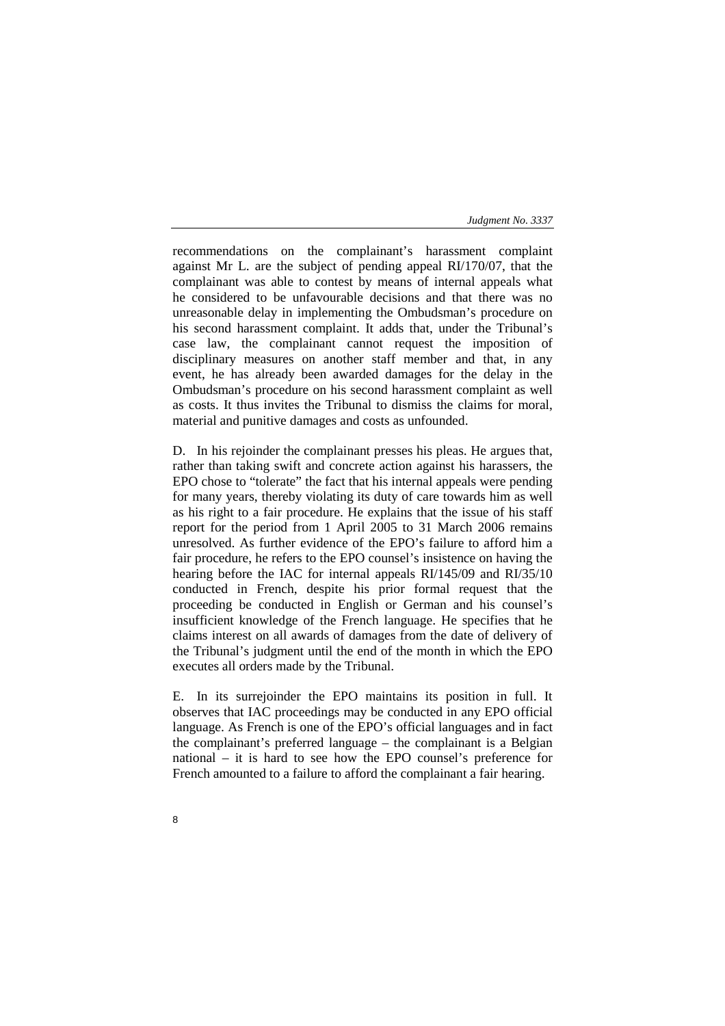recommendations on the complainant's harassment complaint against Mr L. are the subject of pending appeal RI/170/07, that the complainant was able to contest by means of internal appeals what he considered to be unfavourable decisions and that there was no unreasonable delay in implementing the Ombudsman's procedure on his second harassment complaint. It adds that, under the Tribunal's case law, the complainant cannot request the imposition of disciplinary measures on another staff member and that, in any event, he has already been awarded damages for the delay in the Ombudsman's procedure on his second harassment complaint as well as costs. It thus invites the Tribunal to dismiss the claims for moral, material and punitive damages and costs as unfounded.

D. In his rejoinder the complainant presses his pleas. He argues that, rather than taking swift and concrete action against his harassers, the EPO chose to "tolerate" the fact that his internal appeals were pending for many years, thereby violating its duty of care towards him as well as his right to a fair procedure. He explains that the issue of his staff report for the period from 1 April 2005 to 31 March 2006 remains unresolved. As further evidence of the EPO's failure to afford him a fair procedure, he refers to the EPO counsel's insistence on having the hearing before the IAC for internal appeals RI/145/09 and RI/35/10 conducted in French, despite his prior formal request that the proceeding be conducted in English or German and his counsel's insufficient knowledge of the French language. He specifies that he claims interest on all awards of damages from the date of delivery of the Tribunal's judgment until the end of the month in which the EPO executes all orders made by the Tribunal.

E. In its surrejoinder the EPO maintains its position in full. It observes that IAC proceedings may be conducted in any EPO official language. As French is one of the EPO's official languages and in fact the complainant's preferred language – the complainant is a Belgian national – it is hard to see how the EPO counsel's preference for French amounted to a failure to afford the complainant a fair hearing.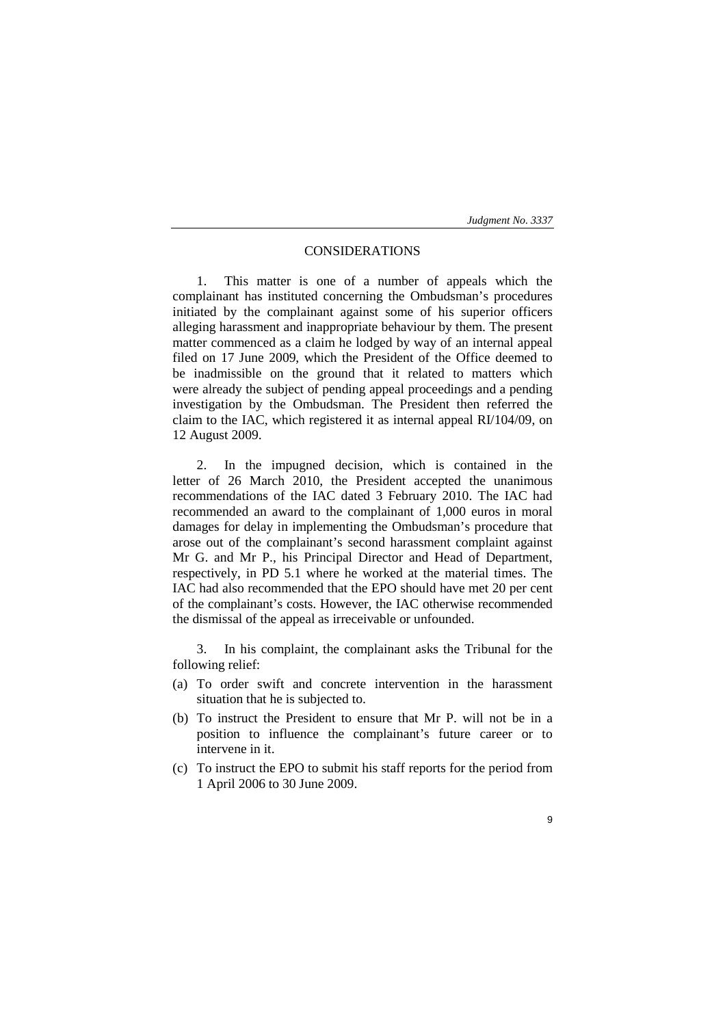## CONSIDERATIONS

1. This matter is one of a number of appeals which the complainant has instituted concerning the Ombudsman's procedures initiated by the complainant against some of his superior officers alleging harassment and inappropriate behaviour by them. The present matter commenced as a claim he lodged by way of an internal appeal filed on 17 June 2009, which the President of the Office deemed to be inadmissible on the ground that it related to matters which were already the subject of pending appeal proceedings and a pending investigation by the Ombudsman. The President then referred the claim to the IAC, which registered it as internal appeal RI/104/09, on 12 August 2009.

2. In the impugned decision, which is contained in the letter of 26 March 2010, the President accepted the unanimous recommendations of the IAC dated 3 February 2010. The IAC had recommended an award to the complainant of 1,000 euros in moral damages for delay in implementing the Ombudsman's procedure that arose out of the complainant's second harassment complaint against Mr G. and Mr P., his Principal Director and Head of Department, respectively, in PD 5.1 where he worked at the material times. The IAC had also recommended that the EPO should have met 20 per cent of the complainant's costs. However, the IAC otherwise recommended the dismissal of the appeal as irreceivable or unfounded.

3. In his complaint, the complainant asks the Tribunal for the following relief:

- (a) To order swift and concrete intervention in the harassment situation that he is subjected to.
- (b) To instruct the President to ensure that Mr P. will not be in a position to influence the complainant's future career or to intervene in it.
- (c) To instruct the EPO to submit his staff reports for the period from 1 April 2006 to 30 June 2009.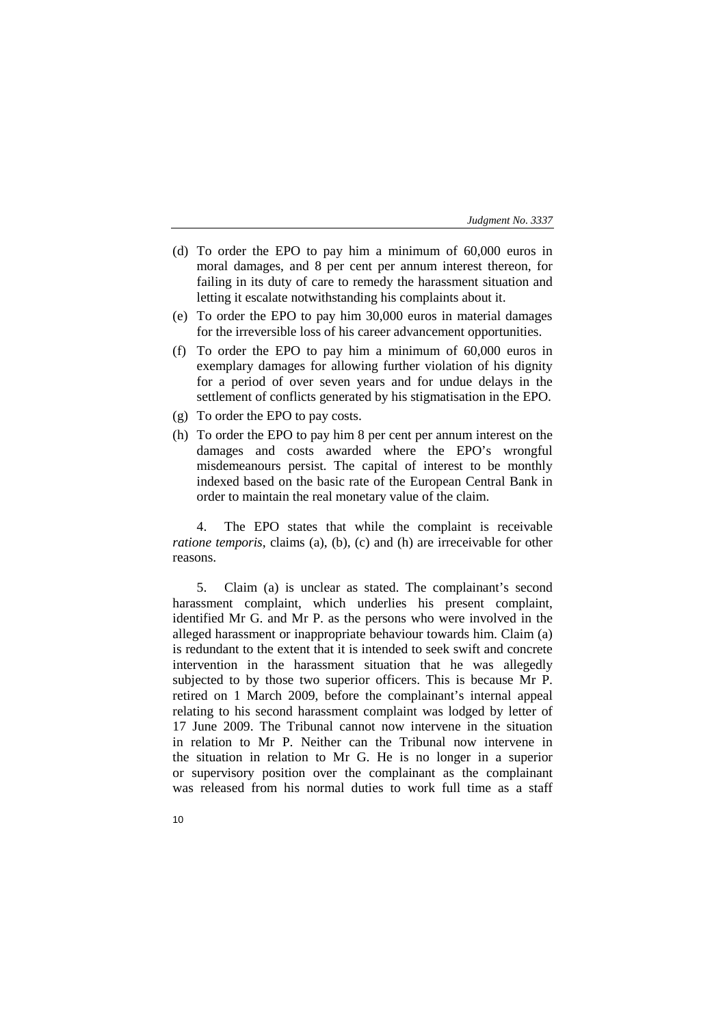- (d) To order the EPO to pay him a minimum of 60,000 euros in moral damages, and 8 per cent per annum interest thereon, for failing in its duty of care to remedy the harassment situation and letting it escalate notwithstanding his complaints about it.
- (e) To order the EPO to pay him 30,000 euros in material damages for the irreversible loss of his career advancement opportunities.
- (f) To order the EPO to pay him a minimum of 60,000 euros in exemplary damages for allowing further violation of his dignity for a period of over seven years and for undue delays in the settlement of conflicts generated by his stigmatisation in the EPO.
- (g) To order the EPO to pay costs.
- (h) To order the EPO to pay him 8 per cent per annum interest on the damages and costs awarded where the EPO's wrongful misdemeanours persist. The capital of interest to be monthly indexed based on the basic rate of the European Central Bank in order to maintain the real monetary value of the claim.

4. The EPO states that while the complaint is receivable *ratione temporis*, claims (a), (b), (c) and (h) are irreceivable for other reasons.

5. Claim (a) is unclear as stated. The complainant's second harassment complaint, which underlies his present complaint, identified Mr G. and Mr P. as the persons who were involved in the alleged harassment or inappropriate behaviour towards him. Claim (a) is redundant to the extent that it is intended to seek swift and concrete intervention in the harassment situation that he was allegedly subjected to by those two superior officers. This is because Mr P. retired on 1 March 2009, before the complainant's internal appeal relating to his second harassment complaint was lodged by letter of 17 June 2009. The Tribunal cannot now intervene in the situation in relation to Mr P. Neither can the Tribunal now intervene in the situation in relation to Mr G. He is no longer in a superior or supervisory position over the complainant as the complainant was released from his normal duties to work full time as a staff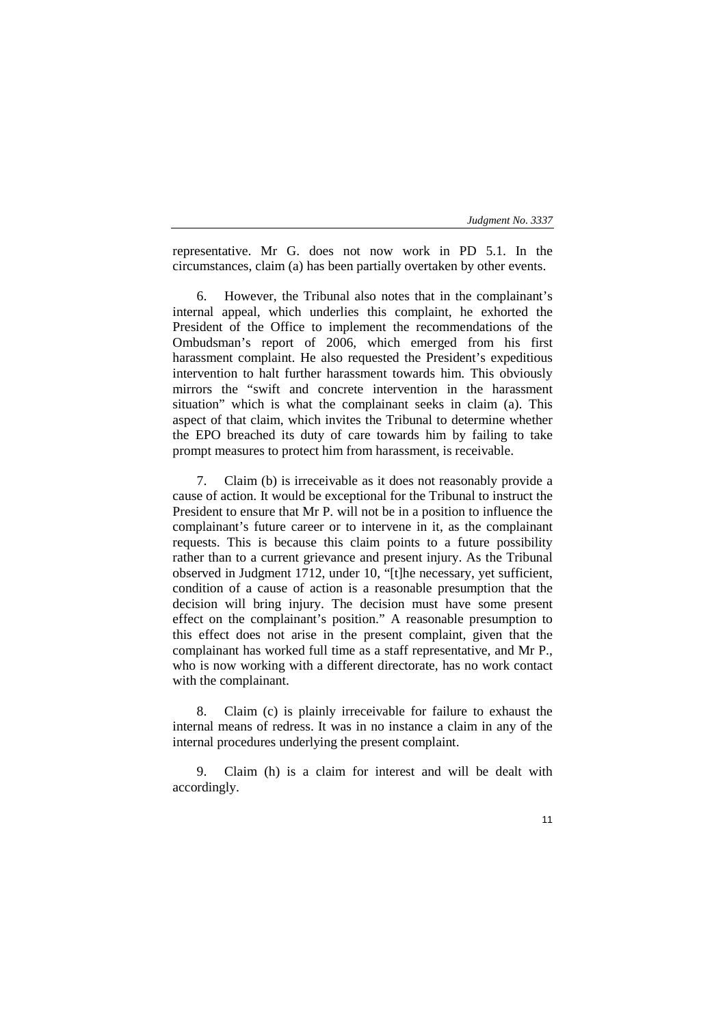| Judgment No. 3337 |  |  |  |
|-------------------|--|--|--|
|-------------------|--|--|--|

representative. Mr G. does not now work in PD 5.1. In the circumstances, claim (a) has been partially overtaken by other events.

6. However, the Tribunal also notes that in the complainant's internal appeal, which underlies this complaint, he exhorted the President of the Office to implement the recommendations of the Ombudsman's report of 2006, which emerged from his first harassment complaint. He also requested the President's expeditious intervention to halt further harassment towards him. This obviously mirrors the "swift and concrete intervention in the harassment situation" which is what the complainant seeks in claim (a). This aspect of that claim, which invites the Tribunal to determine whether the EPO breached its duty of care towards him by failing to take prompt measures to protect him from harassment, is receivable.

7. Claim (b) is irreceivable as it does not reasonably provide a cause of action. It would be exceptional for the Tribunal to instruct the President to ensure that Mr P. will not be in a position to influence the complainant's future career or to intervene in it, as the complainant requests. This is because this claim points to a future possibility rather than to a current grievance and present injury. As the Tribunal observed in Judgment 1712, under 10, "[t]he necessary, yet sufficient, condition of a cause of action is a reasonable presumption that the decision will bring injury. The decision must have some present effect on the complainant's position." A reasonable presumption to this effect does not arise in the present complaint, given that the complainant has worked full time as a staff representative, and Mr P., who is now working with a different directorate, has no work contact with the complainant.

8. Claim (c) is plainly irreceivable for failure to exhaust the internal means of redress. It was in no instance a claim in any of the internal procedures underlying the present complaint.

9. Claim (h) is a claim for interest and will be dealt with accordingly.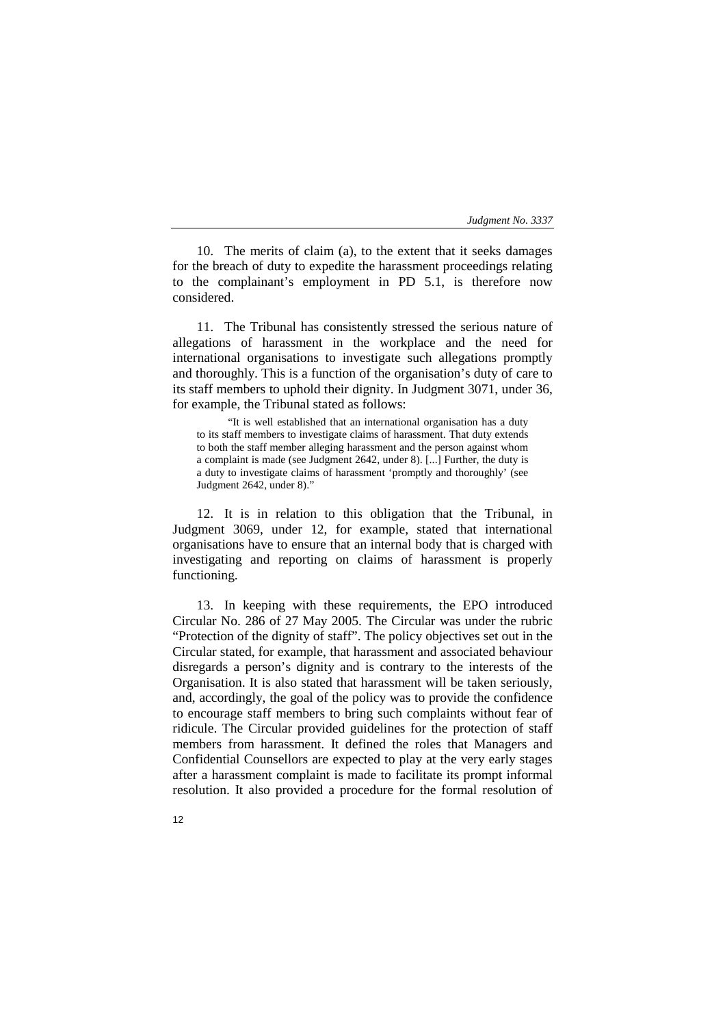10. The merits of claim (a), to the extent that it seeks damages for the breach of duty to expedite the harassment proceedings relating to the complainant's employment in PD 5.1, is therefore now considered.

11. The Tribunal has consistently stressed the serious nature of allegations of harassment in the workplace and the need for international organisations to investigate such allegations promptly and thoroughly. This is a function of the organisation's duty of care to its staff members to uphold their dignity. In Judgment 3071, under 36, for example, the Tribunal stated as follows:

"It is well established that an international organisation has a duty to its staff members to investigate claims of harassment. That duty extends to both the staff member alleging harassment and the person against whom a complaint is made (see Judgment 2642, under 8). [...] Further, the duty is a duty to investigate claims of harassment 'promptly and thoroughly' (see Judgment 2642, under 8)."

12. It is in relation to this obligation that the Tribunal, in Judgment 3069, under 12, for example, stated that international organisations have to ensure that an internal body that is charged with investigating and reporting on claims of harassment is properly functioning.

13. In keeping with these requirements, the EPO introduced Circular No. 286 of 27 May 2005. The Circular was under the rubric "Protection of the dignity of staff". The policy objectives set out in the Circular stated, for example, that harassment and associated behaviour disregards a person's dignity and is contrary to the interests of the Organisation. It is also stated that harassment will be taken seriously, and, accordingly, the goal of the policy was to provide the confidence to encourage staff members to bring such complaints without fear of ridicule. The Circular provided guidelines for the protection of staff members from harassment. It defined the roles that Managers and Confidential Counsellors are expected to play at the very early stages after a harassment complaint is made to facilitate its prompt informal resolution. It also provided a procedure for the formal resolution of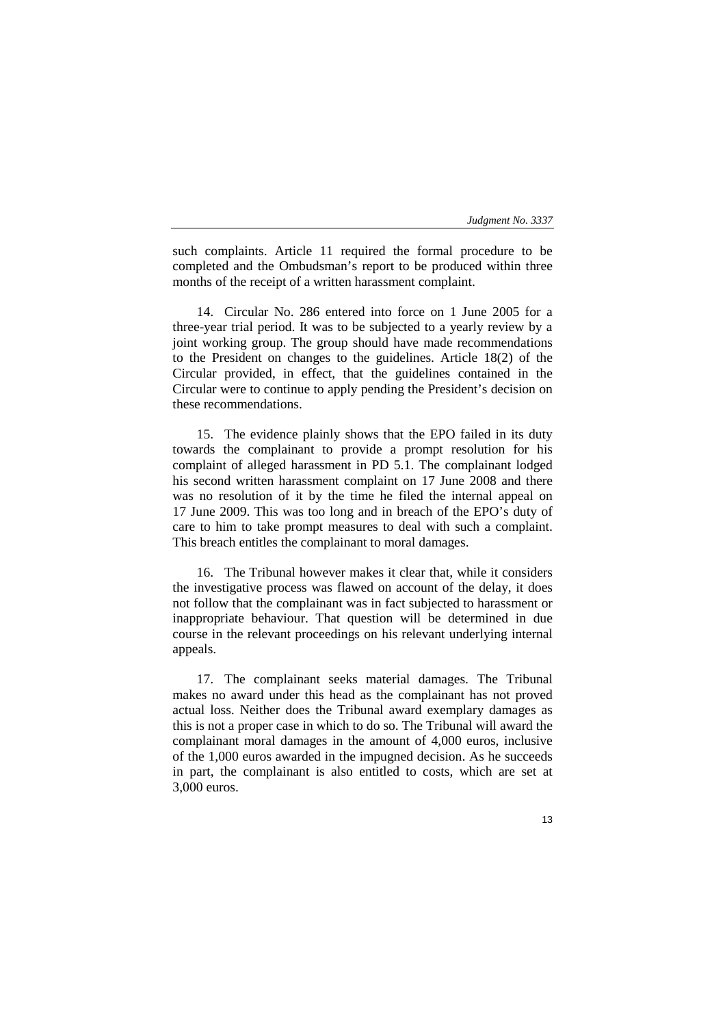such complaints. Article 11 required the formal procedure to be completed and the Ombudsman's report to be produced within three months of the receipt of a written harassment complaint.

14. Circular No. 286 entered into force on 1 June 2005 for a three-year trial period. It was to be subjected to a yearly review by a joint working group. The group should have made recommendations to the President on changes to the guidelines. Article 18(2) of the Circular provided, in effect, that the guidelines contained in the Circular were to continue to apply pending the President's decision on these recommendations.

15. The evidence plainly shows that the EPO failed in its duty towards the complainant to provide a prompt resolution for his complaint of alleged harassment in PD 5.1. The complainant lodged his second written harassment complaint on 17 June 2008 and there was no resolution of it by the time he filed the internal appeal on 17 June 2009. This was too long and in breach of the EPO's duty of care to him to take prompt measures to deal with such a complaint. This breach entitles the complainant to moral damages.

16. The Tribunal however makes it clear that, while it considers the investigative process was flawed on account of the delay, it does not follow that the complainant was in fact subjected to harassment or inappropriate behaviour. That question will be determined in due course in the relevant proceedings on his relevant underlying internal appeals.

17. The complainant seeks material damages. The Tribunal makes no award under this head as the complainant has not proved actual loss. Neither does the Tribunal award exemplary damages as this is not a proper case in which to do so. The Tribunal will award the complainant moral damages in the amount of 4,000 euros, inclusive of the 1,000 euros awarded in the impugned decision. As he succeeds in part, the complainant is also entitled to costs, which are set at 3,000 euros.